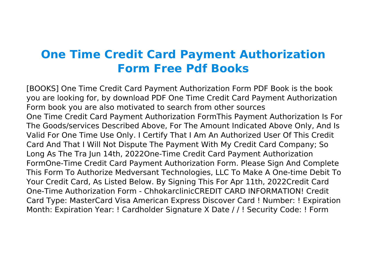## **One Time Credit Card Payment Authorization Form Free Pdf Books**

[BOOKS] One Time Credit Card Payment Authorization Form PDF Book is the book you are looking for, by download PDF One Time Credit Card Payment Authorization Form book you are also motivated to search from other sources One Time Credit Card Payment Authorization FormThis Payment Authorization Is For The Goods/services Described Above, For The Amount Indicated Above Only, And Is Valid For One Time Use Only. I Certify That I Am An Authorized User Of This Credit Card And That I Will Not Dispute The Payment With My Credit Card Company; So Long As The Tra Jun 14th, 2022One-Time Credit Card Payment Authorization FormOne-Time Credit Card Payment Authorization Form. Please Sign And Complete This Form To Authorize Medversant Technologies, LLC To Make A One-time Debit To Your Credit Card, As Listed Below. By Signing This For Apr 11th, 2022Credit Card One-Time Authorization Form - ChhokarclinicCREDIT CARD INFORMATION! Credit Card Type: MasterCard Visa American Express Discover Card ! Number: ! Expiration Month: Expiration Year: ! Cardholder Signature X Date / / ! Security Code: ! Form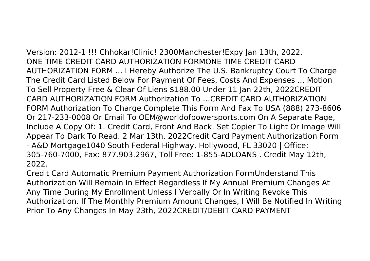Version: 2012-1 !!! Chhokar!Clinic! 2300Manchester!Expy Jan 13th, 2022. ONE TIME CREDIT CARD AUTHORIZATION FORMONE TIME CREDIT CARD AUTHORIZATION FORM ... I Hereby Authorize The U.S. Bankruptcy Court To Charge The Credit Card Listed Below For Payment Of Fees, Costs And Expenses ... Motion To Sell Property Free & Clear Of Liens \$188.00 Under 11 Jan 22th, 2022CREDIT CARD AUTHORIZATION FORM Authorization To …CREDIT CARD AUTHORIZATION FORM Authorization To Charge Complete This Form And Fax To USA (888) 273-8606 Or 217-233-0008 Or Email To OEM@worldofpowersports.com On A Separate Page, Include A Copy Of: 1. Credit Card, Front And Back. Set Copier To Light Or Image Will Appear To Dark To Read. 2 Mar 13th, 2022Credit Card Payment Authorization Form - A&D Mortgage1040 South Federal Highway, Hollywood, FL 33020 | Office: 305‐760‐7000, Fax: 877.903.2967, Toll Free: 1‐855‐ADLOANS . Credit May 12th, 2022.

Credit Card Automatic Premium Payment Authorization FormUnderstand This Authorization Will Remain In Effect Regardless If My Annual Premium Changes At Any Time During My Enrollment Unless I Verbally Or In Writing Revoke This Authorization. If The Monthly Premium Amount Changes, I Will Be Notified In Writing Prior To Any Changes In May 23th, 2022CREDIT/DEBIT CARD PAYMENT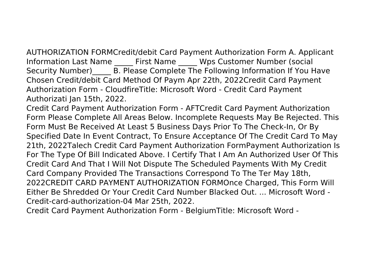AUTHORIZATION FORMCredit/debit Card Payment Authorization Form A. Applicant Information Last Name \_\_\_\_\_\_ First Name \_\_\_\_\_\_ Wps Customer Number (social Security Number) B. Please Complete The Following Information If You Have Chosen Credit/debit Card Method Of Paym Apr 22th, 2022Credit Card Payment Authorization Form - CloudfireTitle: Microsoft Word - Credit Card Payment Authorizati Jan 15th, 2022.

Credit Card Payment Authorization Form - AFTCredit Card Payment Authorization Form Please Complete All Areas Below. Incomplete Requests May Be Rejected. This Form Must Be Received At Least 5 Business Days Prior To The Check-In, Or By Specified Date In Event Contract, To Ensure Acceptance Of The Credit Card To May 21th, 2022Talech Credit Card Payment Authorization FormPayment Authorization Is For The Type Of Bill Indicated Above. I Certify That I Am An Authorized User Of This Credit Card And That I Will Not Dispute The Scheduled Payments With My Credit Card Company Provided The Transactions Correspond To The Ter May 18th, 2022CREDIT CARD PAYMENT AUTHORIZATION FORMOnce Charged, This Form Will Either Be Shredded Or Your Credit Card Number Blacked Out. ... Microsoft Word - Credit-card-authorization-04 Mar 25th, 2022.

Credit Card Payment Authorization Form - BelgiumTitle: Microsoft Word -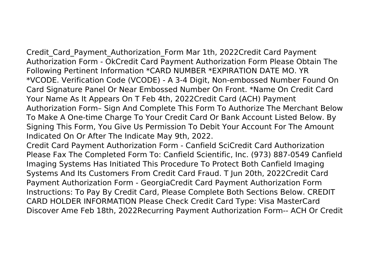Credit Card Payment Authorization Form Mar 1th, 2022Credit Card Payment Authorization Form - OkCredit Card Payment Authorization Form Please Obtain The Following Pertinent Information \*CARD NUMBER \*EXPIRATION DATE MO. YR \*VCODE. Verification Code (VCODE) - A 3-4 Digit, Non-embossed Number Found On Card Signature Panel Or Near Embossed Number On Front. \*Name On Credit Card Your Name As It Appears On T Feb 4th, 2022Credit Card (ACH) Payment Authorization Form– Sign And Complete This Form To Authorize The Merchant Below To Make A One-time Charge To Your Credit Card Or Bank Account Listed Below. By Signing This Form, You Give Us Permission To Debit Your Account For The Amount Indicated On Or After The Indicate May 9th, 2022.

Credit Card Payment Authorization Form - Canfield SciCredit Card Authorization Please Fax The Completed Form To: Canfield Scientific, Inc. (973) 887‐0549 Canfield Imaging Systems Has Initiated This Procedure To Protect Both Canfield Imaging Systems And Its Customers From Credit Card Fraud. T Jun 20th, 2022Credit Card Payment Authorization Form - GeorgiaCredit Card Payment Authorization Form Instructions: To Pay By Credit Card, Please Complete Both Sections Below. CREDIT CARD HOLDER INFORMATION Please Check Credit Card Type: Visa MasterCard Discover Ame Feb 18th, 2022Recurring Payment Authorization Form-- ACH Or Credit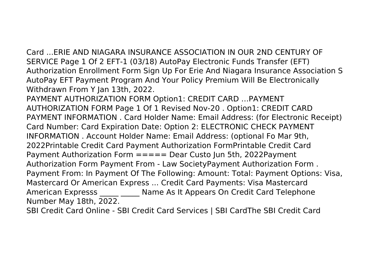Card ...ERIE AND NIAGARA INSURANCE ASSOCIATION IN OUR 2ND CENTURY OF SERVICE Page 1 Of 2 EFT-1 (03/18) AutoPay Electronic Funds Transfer (EFT) Authorization Enrollment Form Sign Up For Erie And Niagara Insurance Association S AutoPay EFT Payment Program And Your Policy Premium Will Be Electronically Withdrawn From Y Jan 13th, 2022.

PAYMENT AUTHORIZATION FORM Option1: CREDIT CARD …PAYMENT AUTHORIZATION FORM Page 1 Of 1 Revised Nov-20 . Option1: CREDIT CARD PAYMENT INFORMATION . Card Holder Name: Email Address: (for Electronic Receipt) Card Number: Card Expiration Date: Option 2: ELECTRONIC CHECK PAYMENT INFORMATION . Account Holder Name: Email Address: (optional Fo Mar 9th, 2022Printable Credit Card Payment Authorization FormPrintable Credit Card Payment Authorization Form ===== Dear Custo Jun 5th, 2022Payment Authorization Form Payment From - Law SocietyPayment Authorization Form . Payment From: In Payment Of The Following: Amount: Total: Payment Options: Visa, Mastercard Or American Express ... Credit Card Payments: Visa Mastercard American Expresss \_\_\_\_\_ \_\_\_\_\_ Name As It Appears On Credit Card Telephone Number May 18th, 2022.

SBI Credit Card Online - SBI Credit Card Services | SBI CardThe SBI Credit Card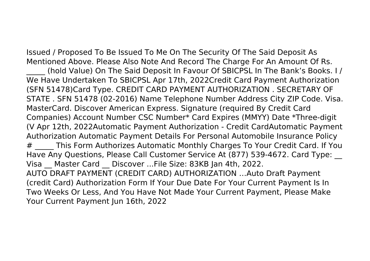Issued / Proposed To Be Issued To Me On The Security Of The Said Deposit As Mentioned Above. Please Also Note And Record The Charge For An Amount Of Rs. (hold Value) On The Said Deposit In Favour Of SBICPSL In The Bank's Books. I / We Have Undertaken To SBICPSL Apr 17th, 2022Credit Card Payment Authorization (SFN 51478)Card Type. CREDIT CARD PAYMENT AUTHORIZATION . SECRETARY OF STATE . SFN 51478 (02-2016) Name Telephone Number Address City ZIP Code. Visa. MasterCard. Discover American Express. Signature (required By Credit Card Companies) Account Number CSC Number\* Card Expires (MMYY) Date \*Three-digit (V Apr 12th, 2022Automatic Payment Authorization - Credit CardAutomatic Payment Authorization Automatic Payment Details For Personal Automobile Insurance Policy # This Form Authorizes Automatic Monthly Charges To Your Credit Card. If You Have Any Questions, Please Call Customer Service At (877) 539-4672. Card Type: \_\_ Visa Master Card Discover ...File Size: 83KB Jan 4th, 2022. AUTO DRAFT PAYMENT (CREDIT CARD) AUTHORIZATION …Auto Draft Payment (credit Card) Authorization Form If Your Due Date For Your Current Payment Is In Two Weeks Or Less, And You Have Not Made Your Current Payment, Please Make Your Current Payment Jun 16th, 2022